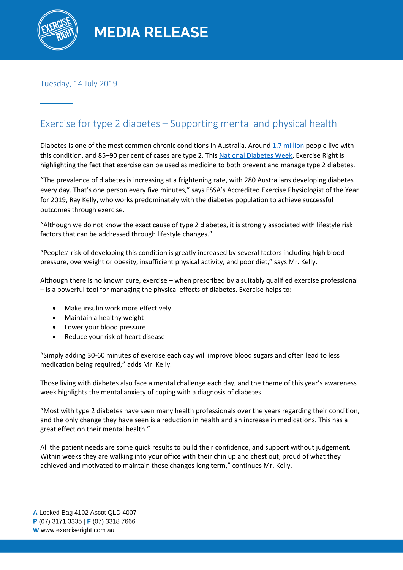

Tuesday, 14 July 2019

# Exercise for type 2 diabetes – Supporting mental and physical health

Diabetes is one of the most common chronic conditions in Australia. Aroun[d 1.7 million](https://www.diabetesaustralia.com.au/diabetes-in-australia) people live with this condition, and 85–90 per cent of cases are type 2. This [National Diabetes](https://www.diabetesaustralia.com.au/national-diabetes-week) Week, Exercise Right is highlighting the fact that exercise can be used as medicine to both prevent and manage type 2 diabetes.

"The prevalence of diabetes is increasing at a frightening rate, with 280 Australians developing diabetes every day. That's one person every five minutes," says ESSA's Accredited Exercise Physiologist of the Year for 2019, Ray Kelly, who works predominately with the diabetes population to achieve successful outcomes through exercise.

"Although we do not know the exact cause of type 2 diabetes, it is strongly associated with lifestyle risk factors that can be addressed through lifestyle changes."

"Peoples' risk of developing this condition is greatly increased by several factors including high blood pressure, overweight or obesity, insufficient physical activity, and poor diet," says Mr. Kelly.

Although there is no known cure, exercise – when prescribed by a suitably qualified exercise professional – is a powerful tool for managing the physical effects of diabetes. Exercise helps to:

- Make insulin work more effectively
- Maintain a healthy weight
- Lower your blood pressure
- Reduce your risk of heart disease

"Simply adding 30-60 minutes of exercise each day will improve blood sugars and often lead to less medication being required," adds Mr. Kelly.

Those living with diabetes also face a mental challenge each day, and the theme of this year's awareness week highlights the mental anxiety of coping with a diagnosis of diabetes.

"Most with type 2 diabetes have seen many health professionals over the years regarding their condition, and the only change they have seen is a reduction in health and an increase in medications. This has a great effect on their mental health."

All the patient needs are some quick results to build their confidence, and support without judgement. Within weeks they are walking into your office with their chin up and chest out, proud of what they achieved and motivated to maintain these changes long term," continues Mr. Kelly.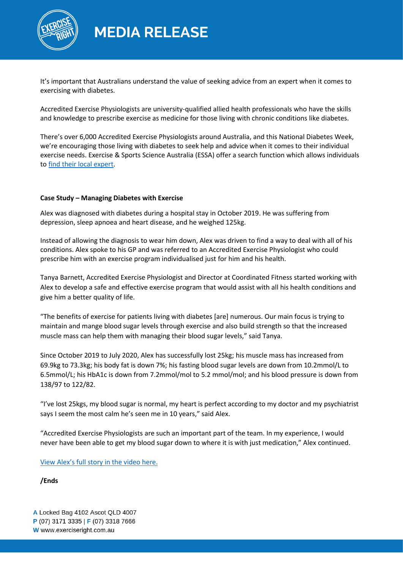

**MEDIA RELEASE** 

It's important that Australians understand the value of seeking advice from an expert when it comes to exercising with diabetes.

Accredited Exercise Physiologists are university-qualified allied health professionals who have the skills and knowledge to prescribe exercise as medicine for those living with chronic conditions like diabetes.

There's over 6,000 Accredited Exercise Physiologists around Australia, and this National Diabetes Week, we're encouraging those living with diabetes to seek help and advice when it comes to their individual exercise needs. Exercise & Sports Science Australia (ESSA) offer a search function which allows individuals t[o find their local expert.](https://www.essa.org.au/find-aep)

### **Case Study – Managing Diabetes with Exercise**

Alex was diagnosed with diabetes during a hospital stay in October 2019. He was suffering from depression, sleep apnoea and heart disease, and he weighed 125kg.

Instead of allowing the diagnosis to wear him down, Alex was driven to find a way to deal with all of his conditions. Alex spoke to his GP and was referred to an Accredited Exercise Physiologist who could prescribe him with an exercise program individualised just for him and his health.

Tanya Barnett, Accredited Exercise Physiologist and Director at Coordinated Fitness started working with Alex to develop a safe and effective exercise program that would assist with all his health conditions and give him a better quality of life.

"The benefits of exercise for patients living with diabetes [are] numerous. Our main focus is trying to maintain and mange blood sugar levels through exercise and also build strength so that the increased muscle mass can help them with managing their blood sugar levels," said Tanya.

Since October 2019 to July 2020, Alex has successfully lost 25kg; his muscle mass has increased from 69.9kg to 73.3kg; his body fat is down 7%; his fasting blood sugar levels are down from 10.2mmol/L to 6.5mmol/L; his HbA1c is down from 7.2mmol/mol to 5.2 mmol/mol; and his blood pressure is down from 138/97 to 122/82.

"I've lost 25kgs, my blood sugar is normal, my heart is perfect according to my doctor and my psychiatrist says I seem the most calm he's seen me in 10 years," said Alex.

"Accredited Exercise Physiologists are such an important part of the team. In my experience, I would never have been able to get my blood sugar down to where it is with just medication," Alex continued.

View Alex['s full story in the vid](https://vimeo.com/438029607)eo here.

### **/Ends**